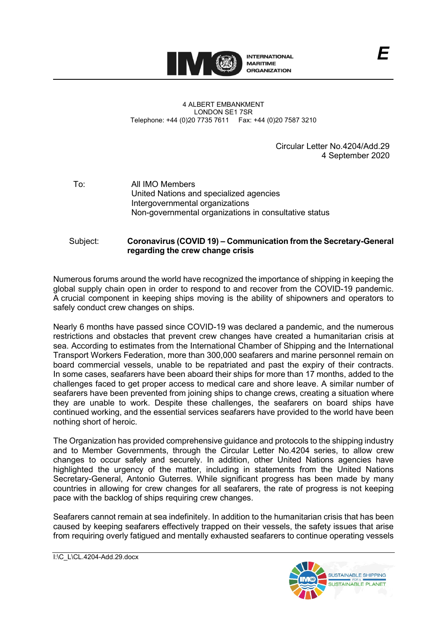

4 ALBERT EMBANKMENT LONDON SE1 7SR Telephone: +44 (0)20 7735 7611 Fax: +44 (0)20 7587 3210

> Circular Letter No.4204/Add.29 4 September 2020

To: All IMO Members United Nations and specialized agencies Intergovernmental organizations Non-governmental organizations in consultative status

## Subject: **Coronavirus (COVID 19) – Communication from the Secretary-General regarding the crew change crisis**

Numerous forums around the world have recognized the importance of shipping in keeping the global supply chain open in order to respond to and recover from the COVID-19 pandemic. A crucial component in keeping ships moving is the ability of shipowners and operators to safely conduct crew changes on ships.

Nearly 6 months have passed since COVID-19 was declared a pandemic, and the numerous restrictions and obstacles that prevent crew changes have created a humanitarian crisis at sea. According to estimates from the International Chamber of Shipping and the International Transport Workers Federation, more than 300,000 seafarers and marine personnel remain on board commercial vessels, unable to be repatriated and past the expiry of their contracts. In some cases, seafarers have been aboard their ships for more than 17 months, added to the challenges faced to get proper access to medical care and shore leave. A similar number of seafarers have been prevented from joining ships to change crews, creating a situation where they are unable to work. Despite these challenges, the seafarers on board ships have continued working, and the essential services seafarers have provided to the world have been nothing short of heroic.

The Organization has provided comprehensive guidance and protocols to the shipping industry and to Member Governments, through the Circular Letter No.4204 series, to allow crew changes to occur safely and securely. In addition, other United Nations agencies have highlighted the urgency of the matter, including in statements from the United Nations Secretary-General, Antonio Guterres. While significant progress has been made by many countries in allowing for crew changes for all seafarers, the rate of progress is not keeping pace with the backlog of ships requiring crew changes.

Seafarers cannot remain at sea indefinitely. In addition to the humanitarian crisis that has been caused by keeping seafarers effectively trapped on their vessels, the safety issues that arise from requiring overly fatigued and mentally exhausted seafarers to continue operating vessels